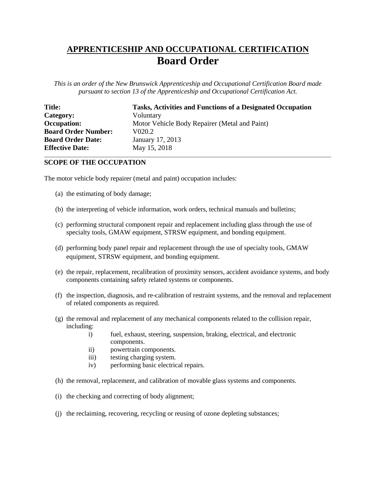## **APPRENTICESHIP AND OCCUPATIONAL CERTIFICATION Board Order**

*This is an order of the New Brunswick Apprenticeship and Occupational Certification Board made pursuant to section 13 of the Apprenticeship and Occupational Certification Act.*

| <b>Title:</b>              | <b>Tasks, Activities and Functions of a Designated Occupation</b> |
|----------------------------|-------------------------------------------------------------------|
| Category:                  | Voluntary                                                         |
| <b>Occupation:</b>         | Motor Vehicle Body Repairer (Metal and Paint)                     |
| <b>Board Order Number:</b> | V020.2                                                            |
| <b>Board Order Date:</b>   | January 17, 2013                                                  |
| <b>Effective Date:</b>     | May 15, 2018                                                      |

\_\_\_\_\_\_\_\_\_\_\_\_\_\_\_\_\_\_\_\_\_\_\_\_\_\_\_\_\_\_\_\_\_\_\_\_\_\_\_\_\_\_\_\_\_\_\_\_\_\_\_\_\_\_\_\_\_\_\_\_\_\_\_\_\_\_\_\_\_\_\_\_\_\_\_\_\_\_\_\_\_\_\_\_\_\_\_\_\_\_\_\_\_\_\_\_\_\_\_\_\_\_\_\_

## **SCOPE OF THE OCCUPATION**

The motor vehicle body repairer (metal and paint) occupation includes:

- (a) the estimating of body damage;
- (b) the interpreting of vehicle information, work orders, technical manuals and bulletins;
- (c) performing structural component repair and replacement including glass through the use of specialty tools, GMAW equipment, STRSW equipment, and bonding equipment.
- (d) performing body panel repair and replacement through the use of specialty tools, GMAW equipment, STRSW equipment, and bonding equipment.
- (e) the repair, replacement, recalibration of proximity sensors, accident avoidance systems, and body components containing safety related systems or components.
- (f) the inspection, diagnosis, and re-calibration of restraint systems, and the removal and replacement of related components as required.
- (g) the removal and replacement of any mechanical components related to the collision repair, including:
	- i) fuel, exhaust, steering, suspension, braking, electrical, and electronic components.
	- ii) powertrain components.
	- iii) testing charging system.
	- iv) performing basic electrical repairs.
- (h) the removal, replacement, and calibration of movable glass systems and components.
- (i) the checking and correcting of body alignment;
- (j) the reclaiming, recovering, recycling or reusing of ozone depleting substances;